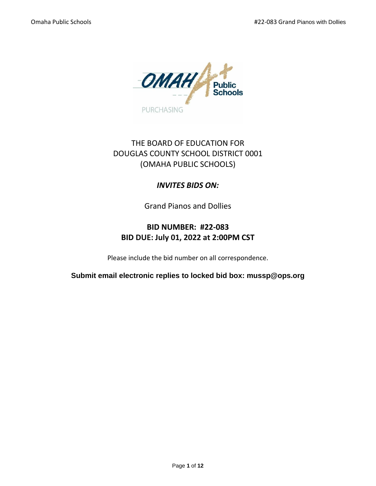

# THE BOARD OF EDUCATION FOR DOUGLAS COUNTY SCHOOL DISTRICT 0001 (OMAHA PUBLIC SCHOOLS)

## *INVITES BIDS ON:*

Grand Pianos and Dollies

# **BID NUMBER: #22-083 BID DUE: July 01, 2022 at 2:00PM CST**

Please include the bid number on all correspondence.

**Submit email electronic replies to locked bid box: mussp@ops.org**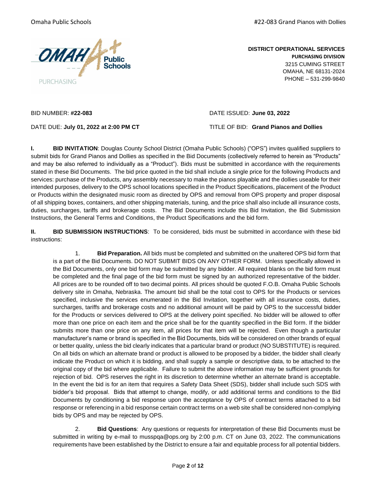

Omaha Public Schools **Accord 2018** 2019 12:30 Manual 2019 12:30 Manual 2019 12:30 Omaha Pianos with Dollies

**DISTRICT OPERATIONAL SERVICES PURCHASING DIVISION** 3215 CUMING STREET OMAHA, NE 68131-2024 PHONE – 531-299-9840

BID NUMBER: **#22-083** DATE ISSUED: **June 03, 2022**

DATE DUE: **July 01, 2022 at 2:00 PM CT** TITLE OF BID: **Grand Pianos and Dollies**

**I. BID INVITATION**: Douglas County School District (Omaha Public Schools) ("OPS") invites qualified suppliers to submit bids for Grand Pianos and Dollies as specified in the Bid Documents (collectively referred to herein as "Products" and may be also referred to individually as a "Product"). Bids must be submitted in accordance with the requirements stated in these Bid Documents. The bid price quoted in the bid shall include a single price for the following Products and services: purchase of the Products, any assembly necessary to make the pianos playable and the dollies useable for their intended purposes, delivery to the OPS school locations specified in the Product Specifications, placement of the Product or Products within the designated music room as directed by OPS and removal from OPS property and proper disposal of all shipping boxes, containers, and other shipping materials, tuning, and the price shall also include all insurance costs, duties, surcharges, tariffs and brokerage costs. The Bid Documents include this Bid Invitation, the Bid Submission Instructions, the General Terms and Conditions, the Product Specifications and the bid form.

**II. BID SUBMISSION INSTRUCTIONS**: To be considered, bids must be submitted in accordance with these bid instructions:

1. **Bid Preparation.** All bids must be completed and submitted on the unaltered OPS bid form that is a part of the Bid Documents. DO NOT SUBMIT BIDS ON ANY OTHER FORM. Unless specifically allowed in the Bid Documents, only one bid form may be submitted by any bidder. All required blanks on the bid form must be completed and the final page of the bid form must be signed by an authorized representative of the bidder. All prices are to be rounded off to two decimal points. All prices should be quoted F.O.B. Omaha Public Schools delivery site in Omaha, Nebraska. The amount bid shall be the total cost to OPS for the Products or services specified, inclusive the services enumerated in the Bid Invitation, together with all insurance costs, duties, surcharges, tariffs and brokerage costs and no additional amount will be paid by OPS to the successful bidder for the Products or services delivered to OPS at the delivery point specified. No bidder will be allowed to offer more than one price on each item and the price shall be for the quantity specified in the Bid form. If the bidder submits more than one price on any item, all prices for that item will be rejected. Even though a particular manufacturer's name or brand is specified in the Bid Documents, bids will be considered on other brands of equal or better quality, unless the bid clearly indicates that a particular brand or product (NO SUBSTITUTE) is required. On all bids on which an alternate brand or product is allowed to be proposed by a bidder, the bidder shall clearly indicate the Product on which it is bidding, and shall supply a sample or descriptive data, to be attached to the original copy of the bid where applicable. Failure to submit the above information may be sufficient grounds for rejection of bid. OPS reserves the right in its discretion to determine whether an alternate brand is acceptable. In the event the bid is for an item that requires a Safety Data Sheet (SDS), bidder shall include such SDS with bidder's bid proposal. Bids that attempt to change, modify, or add additional terms and conditions to the Bid Documents by conditioning a bid response upon the acceptance by OPS of contract terms attached to a bid response or referencing in a bid response certain contract terms on a web site shall be considered non-complying bids by OPS and may be rejected by OPS.

2. **Bid Questions**: Any questions or requests for interpretation of these Bid Documents must be submitted in writing by e-mail to musspqa@ops.org by 2:00 p.m. CT on June 03, 2022. The communications requirements have been established by the District to ensure a fair and equitable process for all potential bidders.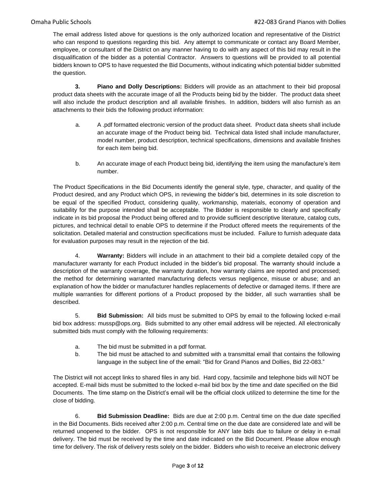The email address listed above for questions is the only authorized location and representative of the District who can respond to questions regarding this bid. Any attempt to communicate or contact any Board Member, employee, or consultant of the District on any manner having to do with any aspect of this bid may result in the disqualification of the bidder as a potential Contractor. Answers to questions will be provided to all potential bidders known to OPS to have requested the Bid Documents, without indicating which potential bidder submitted the question.

**3. Piano and Dolly Descriptions:** Bidders will provide as an attachment to their bid proposal product data sheets with the accurate image of all the Products being bid by the bidder. The product data sheet will also include the product description and all available finishes. In addition, bidders will also furnish as an attachments to their bids the following product information:

- a. A .pdf formatted electronic version of the product data sheet. Product data sheets shall include an accurate image of the Product being bid. Technical data listed shall include manufacturer, model number, product description, technical specifications, dimensions and available finishes for each item being bid.
- b. An accurate image of each Product being bid, identifying the item using the manufacture's item number.

The Product Specifications in the Bid Documents identify the general style, type, character, and quality of the Product desired, and any Product which OPS, in reviewing the bidder's bid, determines in its sole discretion to be equal of the specified Product, considering quality, workmanship, materials, economy of operation and suitability for the purpose intended shall be acceptable. The Bidder is responsible to clearly and specifically indicate in its bid proposal the Product being offered and to provide sufficient descriptive literature, catalog cuts, pictures, and technical detail to enable OPS to determine if the Product offered meets the requirements of the solicitation. Detailed material and construction specifications must be included. Failure to furnish adequate data for evaluation purposes may result in the rejection of the bid.

4. **Warranty:** Bidders will include in an attachment to their bid a complete detailed copy of the manufacturer warranty for each Product included in the bidder's bid proposal. The warranty should include a description of the warranty coverage, the warranty duration, how warranty claims are reported and processed; the method for determining warranted manufacturing defects versus negligence, misuse or abuse; and an explanation of how the bidder or manufacturer handles replacements of defective or damaged items. If there are multiple warranties for different portions of a Product proposed by the bidder, all such warranties shall be described.

5. **Bid Submission:** All bids must be submitted to OPS by email to the following locked e-mail bid box address: mussp@ops.org. Bids submitted to any other email address will be rejected. All electronically submitted bids must comply with the following requirements:

- a. The bid must be submitted in a pdf format.
- b. The bid must be attached to and submitted with a transmittal email that contains the following language in the subject line of the email: "Bid for Grand Pianos and Dollies, Bid 22-083."

The District will not accept links to shared files in any bid. Hard copy, facsimile and telephone bids will NOT be accepted. E-mail bids must be submitted to the locked e-mail bid box by the time and date specified on the Bid Documents. The time stamp on the District's email will be the official clock utilized to determine the time for the close of bidding.

6. **Bid Submission Deadline:** Bids are due at 2:00 p.m. Central time on the due date specified in the Bid Documents. Bids received after 2:00 p.m. Central time on the due date are considered late and will be returned unopened to the bidder. OPS is not responsible for ANY late bids due to failure or delay in e-mail delivery. The bid must be received by the time and date indicated on the Bid Document. Please allow enough time for delivery. The risk of delivery rests solely on the bidder. Bidders who wish to receive an electronic delivery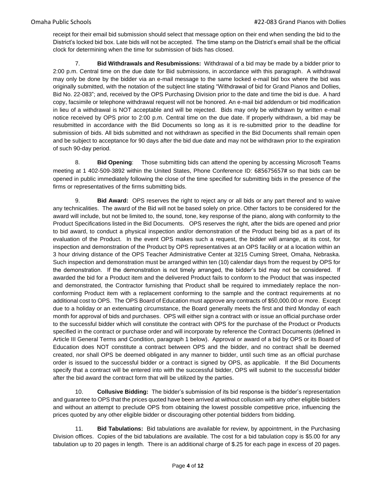receipt for their email bid submission should select that message option on their end when sending the bid to the District's locked bid box. Late bids will not be accepted. The time stamp on the District's email shall be the official clock for determining when the time for submission of bids has closed.

7. **Bid Withdrawals and Resubmissions:** Withdrawal of a bid may be made by a bidder prior to 2:00 p.m. Central time on the due date for Bid submissions, in accordance with this paragraph. A withdrawal may only be done by the bidder via an e-mail message to the same locked e-mail bid box where the bid was originally submitted, with the notation of the subject line stating "Withdrawal of bid for Grand Pianos and Dollies, Bid No. 22-083"; and, received by the OPS Purchasing Division prior to the date and time the bid is due. A hard copy, facsimile or telephone withdrawal request will not be honored. An e-mail bid addendum or bid modification in lieu of a withdrawal is NOT acceptable and will be rejected. Bids may only be withdrawn by written e-mail notice received by OPS prior to 2:00 p.m. Central time on the due date. If properly withdrawn, a bid may be resubmitted in accordance with the Bid Documents so long as it is re-submitted prior to the deadline for submission of bids. All bids submitted and not withdrawn as specified in the Bid Documents shall remain open and be subject to acceptance for 90 days after the bid due date and may not be withdrawn prior to the expiration of such 90-day period.

8. **Bid Opening**: Those submitting bids can attend the opening by accessing Microsoft Teams meeting at 1 402-509-3892 within the United States, Phone Conference ID: [685675657#](tel:+14025093892,,685675657# ) so that bids can be opened in public immediately following the close of the time specified for submitting bids in the presence of the firms or representatives of the firms submitting bids.

9. **Bid Award:** OPS reserves the right to reject any or all bids or any part thereof and to waive any technicalities. The award of the Bid will not be based solely on price. Other factors to be considered for the award will include, but not be limited to, the sound, tone, key response of the piano, along with conformity to the Product Specifications listed in the Bid Documents. OPS reserves the right, after the bids are opened and prior to bid award, to conduct a physical inspection and/or demonstration of the Product being bid as a part of its evaluation of the Product. In the event OPS makes such a request, the bidder will arrange, at its cost, for inspection and demonstration of the Product by OPS representatives at an OPS facility or at a location within an 3 hour driving distance of the OPS Teacher Administrative Center at 3215 Cuming Street, Omaha, Nebraska. Such inspection and demonstration must be arranged within ten (10) calendar days from the request by OPS for the demonstration. If the demonstration is not timely arranged, the bidder's bid may not be considered. If awarded the bid for a Product item and the delivered Product fails to conform to the Product that was inspected and demonstrated, the Contractor furnishing that Product shall be required to immediately replace the nonconforming Product item with a replacement conforming to the sample and the contract requirements at no additional cost to OPS. The OPS Board of Education must approve any contracts of \$50,000.00 or more. Except due to a holiday or an extenuating circumstance, the Board generally meets the first and third Monday of each month for approval of bids and purchases. OPS will either sign a contract with or issue an official purchase order to the successful bidder which will constitute the contract with OPS for the purchase of the Product or Products specified in the contract or purchase order and will incorporate by reference the Contract Documents (defined in Article III General Terms and Condition, paragraph 1 below). Approval or award of a bid by OPS or its Board of Education does NOT constitute a contract between OPS and the bidder, and no contract shall be deemed created, nor shall OPS be deemed obligated in any manner to bidder, until such time as an official purchase order is issued to the successful bidder or a contract is signed by OPS, as applicable. If the Bid Documents specify that a contract will be entered into with the successful bidder, OPS will submit to the successful bidder after the bid award the contract form that will be utilized by the parties.

10. **Collusive Bidding:** The bidder's submission of its bid response is the bidder's representation and guarantee to OPS that the prices quoted have been arrived at without collusion with any other eligible bidders and without an attempt to preclude OPS from obtaining the lowest possible competitive price, influencing the prices quoted by any other eligible bidder or discouraging other potential bidders from bidding.

11. **Bid Tabulations:** Bid tabulations are available for review, by appointment, in the Purchasing Division offices. Copies of the bid tabulations are available. The cost for a bid tabulation copy is \$5.00 for any tabulation up to 20 pages in length. There is an additional charge of \$.25 for each page in excess of 20 pages.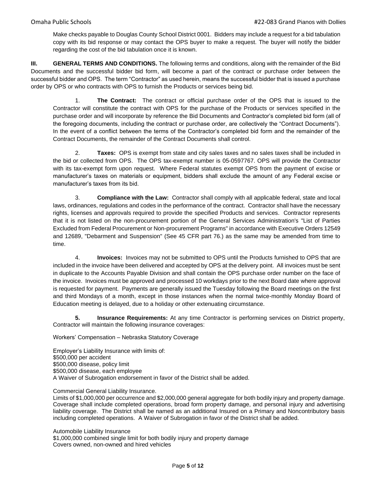Make checks payable to Douglas County School District 0001. Bidders may include a request for a bid tabulation copy with its bid response or may contact the OPS buyer to make a request. The buyer will notify the bidder regarding the cost of the bid tabulation once it is known.

**III. GENERAL TERMS AND CONDITIONS.** The following terms and conditions, along with the remainder of the Bid Documents and the successful bidder bid form, will become a part of the contract or purchase order between the successful bidder and OPS. The term "Contractor" as used herein, means the successful bidder that is issued a purchase order by OPS or who contracts with OPS to furnish the Products or services being bid.

1. **The Contract:** The contract or official purchase order of the OPS that is issued to the Contractor will constitute the contract with OPS for the purchase of the Products or services specified in the purchase order and will incorporate by reference the Bid Documents and Contractor's completed bid form (all of the foregoing documents, including the contract or purchase order, are collectively the "Contract Documents"). In the event of a conflict between the terms of the Contractor's completed bid form and the remainder of the Contract Documents, the remainder of the Contract Documents shall control.

2. **Taxes:** OPS is exempt from state and city sales taxes and no sales taxes shall be included in the bid or collected from OPS. The OPS tax-exempt number is 05-0597767. OPS will provide the Contractor with its tax-exempt form upon request. Where Federal statutes exempt OPS from the payment of excise or manufacturer's taxes on materials or equipment, bidders shall exclude the amount of any Federal excise or manufacturer's taxes from its bid.

3. **Compliance with the Law:** Contractor shall comply with all applicable federal, state and local laws, ordinances, regulations and codes in the performance of the contract. Contractor shall have the necessary rights, licenses and approvals required to provide the specified Products and services. Contractor represents that it is not listed on the non-procurement portion of the General Services Administration's "List of Parties Excluded from Federal Procurement or Non-procurement Programs" in accordance with Executive Orders 12549 and 12689, "Debarment and Suspension" (See 45 CFR part 76.) as the same may be amended from time to time.

4. **Invoices:** Invoices may not be submitted to OPS until the Products furnished to OPS that are included in the invoice have been delivered and accepted by OPS at the delivery point. All invoices must be sent in duplicate to the Accounts Payable Division and shall contain the OPS purchase order number on the face of the invoice. Invoices must be approved and processed 10 workdays prior to the next Board date where approval is requested for payment. Payments are generally issued the Tuesday following the Board meetings on the first and third Mondays of a month, except in those instances when the normal twice-monthly Monday Board of Education meeting is delayed, due to a holiday or other extenuating circumstance.

**5. Insurance Requirements:** At any time Contractor is performing services on District property, Contractor will maintain the following insurance coverages:

Workers' Compensation – Nebraska Statutory Coverage

Employer's Liability Insurance with limits of: \$500,000 per accident \$500,000 disease, policy limit \$500,000 disease, each employee A Waiver of Subrogation endorsement in favor of the District shall be added.

Commercial General Liability Insurance.

Limits of \$1,000,000 per occurrence and \$2,000,000 general aggregate for both bodily injury and property damage. Coverage shall include completed operations, broad form property damage, and personal injury and advertising liability coverage. The District shall be named as an additional Insured on a Primary and Noncontributory basis including completed operations. A Waiver of Subrogation in favor of the District shall be added.

Automobile Liability Insurance \$1,000,000 combined single limit for both bodily injury and property damage Covers owned, non-owned and hired vehicles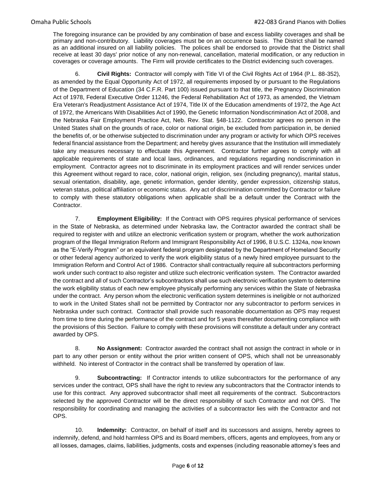The foregoing insurance can be provided by any combination of base and excess liability coverages and shall be primary and non-contributory. Liability coverages must be on an occurrence basis. The District shall be named as an additional insured on all liability policies. The polices shall be endorsed to provide that the District shall receive at least 30 days' prior notice of any non-renewal, cancellation, material modification, or any reduction in coverages or coverage amounts. The Firm will provide certificates to the District evidencing such coverages.

6. **Civil Rights:** Contractor will comply with Title VI of the Civil Rights Act of 1964 (P.L. 88-352), as amended by the Equal Opportunity Act of 1972, all requirements imposed by or pursuant to the Regulations of the Department of Education (34 C.F.R. Part 100) issued pursuant to that title, the Pregnancy Discrimination Act of 1978, Federal Executive Order 11246, the Federal Rehabilitation Act of 1973, as amended, the Vietnam Era Veteran's Readjustment Assistance Act of 1974, Title IX of the Education amendments of 1972, the Age Act of 1972, the Americans With Disabilities Act of 1990, the Genetic Information Nondiscrimination Act of 2008, and the Nebraska Fair Employment Practice Act, Neb. Rev. Stat. §48-1122. Contractor agrees no person in the United States shall on the grounds of race, color or national origin, be excluded from participation in, be denied the benefits of, or be otherwise subjected to discrimination under any program or activity for which OPS receives federal financial assistance from the Department; and hereby gives assurance that the Institution will immediately take any measures necessary to effectuate this Agreement. Contractor further agrees to comply with all applicable requirements of state and local laws, ordinances, and regulations regarding nondiscrimination in employment. Contractor agrees not to discriminate in its employment practices and will render services under this Agreement without regard to race, color, national origin, religion, sex (including pregnancy), marital status, sexual orientation, disability, age, genetic information, gender identity, gender expression, citizenship status, veteran status, political affiliation or economic status. Any act of discrimination committed by Contractor or failure to comply with these statutory obligations when applicable shall be a default under the Contract with the Contractor.

7. **Employment Eligibility:** If the Contract with OPS requires physical performance of services in the State of Nebraska, as determined under Nebraska law, the Contractor awarded the contract shall be required to register with and utilize an electronic verification system or program, whether the work authorization program of the Illegal Immigration Reform and Immigrant Responsibility Act of 1996, 8 U.S.C. 1324a, now known as the "E-Verify Program" or an equivalent federal program designated by the Department of Homeland Security or other federal agency authorized to verify the work eligibility status of a newly hired employee pursuant to the Immigration Reform and Control Act of 1986. Contractor shall contractually require all subcontractors performing work under such contract to also register and utilize such electronic verification system. The Contractor awarded the contract and all of such Contractor's subcontractors shall use such electronic verification system to determine the work eligibility status of each new employee physically performing any services within the State of Nebraska under the contract. Any person whom the electronic verification system determines is ineligible or not authorized to work in the United States shall not be permitted by Contractor nor any subcontractor to perform services in Nebraska under such contract. Contractor shall provide such reasonable documentation as OPS may request from time to time during the performance of the contract and for 5 years thereafter documenting compliance with the provisions of this Section. Failure to comply with these provisions will constitute a default under any contract awarded by OPS.

8. **No Assignment:** Contractor awarded the contract shall not assign the contract in whole or in part to any other person or entity without the prior written consent of OPS, which shall not be unreasonably withheld. No interest of Contractor in the contract shall be transferred by operation of law.

9. **Subcontracting:** If Contractor intends to utilize subcontractors for the performance of any services under the contract, OPS shall have the right to review any subcontractors that the Contractor intends to use for this contract. Any approved subcontractor shall meet all requirements of the contract. Subcontractors selected by the approved Contractor will be the direct responsibility of such Contractor and not OPS. The responsibility for coordinating and managing the activities of a subcontractor lies with the Contractor and not OPS.

10. **Indemnity:** Contractor, on behalf of itself and its successors and assigns, hereby agrees to indemnify, defend, and hold harmless OPS and its Board members, officers, agents and employees, from any or all losses, damages, claims, liabilities, judgments, costs and expenses (including reasonable attorney's fees and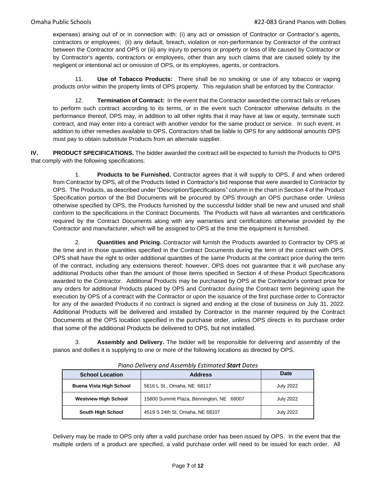expenses) arising out of or in connection with: (i) any act or omission of Contractor or Contractor's agents, contractors or employees; (ii) any default, breach, violation or non-performance by Contractor of the contract between the Contractor and OPS or (iii) any injury to persons or property or loss of life caused by Contractor or by Contractor's agents, contractors or employees, other than any such claims that are caused solely by the negligent or intentional act or omission of OPS, or its employees, agents, or contractors.

11. **Use of Tobacco Products:** There shall be no smoking or use of any tobacco or vaping products on/or within the property limits of OPS property. This regulation shall be enforced by the Contractor.

12. **Termination of Contract:** In the event that the Contractor awarded the contract fails or refuses to perform such contract according to its terms, or in the event such Contractor otherwise defaults in the performance thereof, OPS may, in addition to all other rights that it may have at law or equity, terminate such contract, and may enter into a contract with another vendor for the same product or service. In such event, in addition to other remedies available to OPS, Contractors shall be liable to OPS for any additional amounts OPS must pay to obtain substitute Products from an alternate supplier.

**IV. PRODUCT SPECIFICATIONS.** The bidder awarded the contract will be expected to furnish the Products to OPS that comply with the following specifications:

1. **Products to be Furnished.** Contractor agrees that it will supply to OPS, if and when ordered from Contractor by OPS, all of the Products listed in Contractor's bid response that were awarded to Contractor by OPS. The Products, as described under "Description/Specifications" column in the chart in Section 4 of the Product Specification portion of the Bid Documents will be procured by OPS through an OPS purchase order. Unless otherwise specified by OPS, the Products furnished by the successful bidder shall be new and unused and shall conform to the specifications in the Contract Documents. The Products will have all warranties and certifications required by the Contract Documents along with any warranties and certifications otherwise provided by the Contractor and manufacturer, which will be assigned to OPS at the time the equipment is furnished.

2. **Quantities and Pricing.** Contractor will furnish the Products awarded to Contractor by OPS at the time and in those quantities specified in the Contract Documents during the term of the contract with OPS. OPS shall have the right to order additional quantities of the same Products at the contract price during the term of the contract, including any extensions thereof; however, OPS does not guarantee that it will purchase any additional Products other than the amount of those items specified in Section 4 of these Product Specifications awarded to the Contractor. Additional Products may be purchased by OPS at the Contractor's contract price for any orders for additional Products placed by OPS and Contractor during the Contract term beginning upon the execution by OPS of a contract with the Contractor or upon the issuance of the first purchase order to Contractor for any of the awarded Products if no contract is signed and ending at the close of business on July 31, 2022. Additional Products will be delivered and installed by Contractor in the manner required by the Contract Documents at the OPS location specified in the purchase order, unless OPS directs in its purchase order that some of the additional Products be delivered to OPS, but not installed.

3. **Assembly and Delivery.** The bidder will be responsible for delivering and assembly of the pianos and dollies it is supplying to one or more of the following locations as directed by OPS.

| <b>School Location</b>         | <b>Address</b>                           | Date             |
|--------------------------------|------------------------------------------|------------------|
| <b>Buena Vista High School</b> | 5616 L St., Omaha, NE 68117              | July 2022        |
| <b>Westview High School</b>    | 15800 Summit Plaza, Bennington, NE 68007 | <b>July 2022</b> |
| <b>South High School</b>       | 4519 S 24th St, Omaha, NE 68107          | <b>July 2022</b> |

*Piano Delivery and Assembly Estimated Start Dates*

Delivery may be made to OPS only after a valid purchase order has been issued by OPS. In the event that the multiple orders of a product are specified, a valid purchase order will need to be issued for each order. All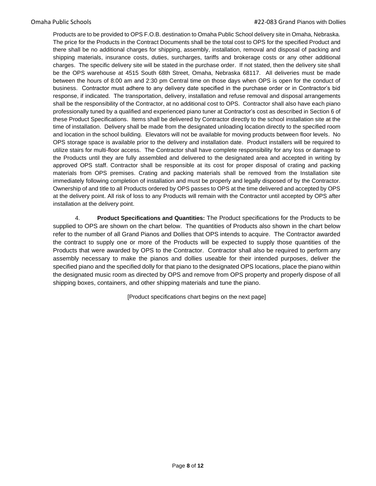Products are to be provided to OPS F.O.B. destination to Omaha Public School delivery site in Omaha, Nebraska. The price for the Products in the Contract Documents shall be the total cost to OPS for the specified Product and there shall be no additional charges for shipping, assembly, installation, removal and disposal of packing and shipping materials, insurance costs, duties, surcharges, tariffs and brokerage costs or any other additional charges. The specific delivery site will be stated in the purchase order. If not stated, then the delivery site shall be the OPS warehouse at 4515 South 68th Street, Omaha, Nebraska 68117. All deliveries must be made between the hours of 8:00 am and 2:30 pm Central time on those days when OPS is open for the conduct of business. Contractor must adhere to any delivery date specified in the purchase order or in Contractor's bid response, if indicated. The transportation, delivery, installation and refuse removal and disposal arrangements shall be the responsibility of the Contractor, at no additional cost to OPS. Contractor shall also have each piano professionally tuned by a qualified and experienced piano tuner at Contractor's cost as described in Section 6 of these Product Specifications. Items shall be delivered by Contractor directly to the school installation site at the time of installation. Delivery shall be made from the designated unloading location directly to the specified room and location in the school building. Elevators will not be available for moving products between floor levels. No OPS storage space is available prior to the delivery and installation date. Product installers will be required to utilize stairs for multi-floor access. The Contractor shall have complete responsibility for any loss or damage to the Products until they are fully assembled and delivered to the designated area and accepted in writing by approved OPS staff. Contractor shall be responsible at its cost for proper disposal of crating and packing materials from OPS premises. Crating and packing materials shall be removed from the Installation site immediately following completion of installation and must be properly and legally disposed of by the Contractor. Ownership of and title to all Products ordered by OPS passes to OPS at the time delivered and accepted by OPS at the delivery point. All risk of loss to any Products will remain with the Contractor until accepted by OPS after installation at the delivery point.

4. **Product Specifications and Quantities:** The Product specifications for the Products to be supplied to OPS are shown on the chart below. The quantities of Products also shown in the chart below refer to the number of all Grand Pianos and Dollies that OPS intends to acquire. The Contractor awarded the contract to supply one or more of the Products will be expected to supply those quantities of the Products that were awarded by OPS to the Contractor. Contractor shall also be required to perform any assembly necessary to make the pianos and dollies useable for their intended purposes, deliver the specified piano and the specified dolly for that piano to the designated OPS locations, place the piano within the designated music room as directed by OPS and remove from OPS property and properly dispose of all shipping boxes, containers, and other shipping materials and tune the piano.

[Product specifications chart begins on the next page]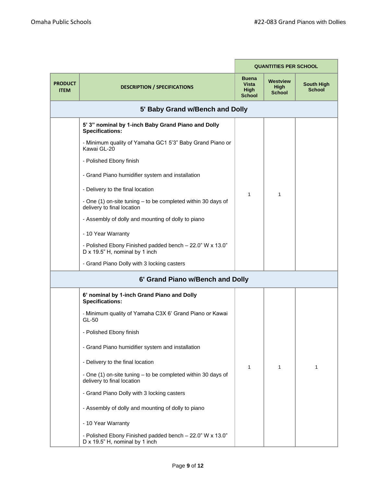|                               |                                                                                            |                                                              | <b>QUANTITIES PER SCHOOL</b>             |                                    |
|-------------------------------|--------------------------------------------------------------------------------------------|--------------------------------------------------------------|------------------------------------------|------------------------------------|
| <b>PRODUCT</b><br><b>ITEM</b> | <b>DESCRIPTION / SPECIFICATIONS</b>                                                        | <b>Buena</b><br><b>Vista</b><br><b>High</b><br><b>School</b> | Westview<br><b>High</b><br><b>School</b> | <b>South High</b><br><b>School</b> |
|                               | 5' Baby Grand w/Bench and Dolly                                                            |                                                              |                                          |                                    |
|                               | 5' 3" nominal by 1-inch Baby Grand Piano and Dolly<br><b>Specifications:</b>               |                                                              |                                          |                                    |
|                               | - Minimum quality of Yamaha GC1 5'3" Baby Grand Piano or<br>Kawai GL-20                    |                                                              |                                          |                                    |
|                               | - Polished Ebony finish                                                                    |                                                              |                                          |                                    |
|                               | - Grand Piano humidifier system and installation                                           |                                                              |                                          |                                    |
|                               | - Delivery to the final location                                                           | 1                                                            | 1                                        |                                    |
|                               | - One (1) on-site tuning – to be completed within 30 days of<br>delivery to final location |                                                              |                                          |                                    |
|                               | - Assembly of dolly and mounting of dolly to piano                                         |                                                              |                                          |                                    |
|                               | - 10 Year Warranty                                                                         |                                                              |                                          |                                    |
|                               | - Polished Ebony Finished padded bench - 22.0" W x 13.0"<br>D x 19.5" H, nominal by 1 inch |                                                              |                                          |                                    |
|                               | - Grand Piano Dolly with 3 locking casters                                                 |                                                              |                                          |                                    |
|                               | 6' Grand Piano w/Bench and Dolly                                                           |                                                              |                                          |                                    |
|                               | 6' nominal by 1-inch Grand Piano and Dolly<br>Specifications:                              |                                                              |                                          |                                    |
|                               | - Minimum quality of Yamaha C3X 6' Grand Piano or Kawai<br>GL-50                           |                                                              |                                          |                                    |
|                               | - Polished Ebony finish                                                                    |                                                              |                                          |                                    |
|                               | - Grand Piano humidifier system and installation                                           |                                                              |                                          |                                    |
|                               | - Delivery to the final location                                                           | 1                                                            | 1                                        | 1                                  |
|                               | - One (1) on-site tuning - to be completed within 30 days of<br>delivery to final location |                                                              |                                          |                                    |
|                               | - Grand Piano Dolly with 3 locking casters                                                 |                                                              |                                          |                                    |
|                               | - Assembly of dolly and mounting of dolly to piano                                         |                                                              |                                          |                                    |
|                               | - 10 Year Warranty                                                                         |                                                              |                                          |                                    |
|                               | - Polished Ebony Finished padded bench - 22.0" W x 13.0"<br>D x 19.5" H, nominal by 1 inch |                                                              |                                          |                                    |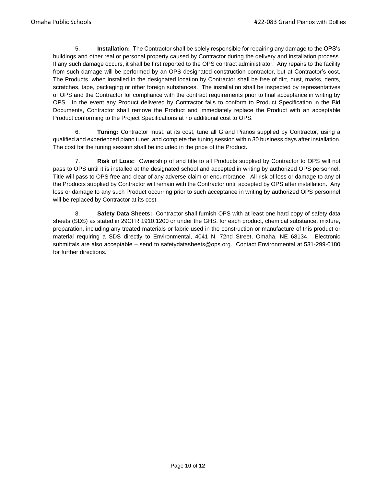5. **Installation:** The Contractor shall be solely responsible for repairing any damage to the OPS's buildings and other real or personal property caused by Contractor during the delivery and installation process. If any such damage occurs, it shall be first reported to the OPS contract administrator. Any repairs to the facility from such damage will be performed by an OPS designated construction contractor, but at Contractor's cost. The Products, when installed in the designated location by Contractor shall be free of dirt, dust, marks, dents, scratches, tape, packaging or other foreign substances. The installation shall be inspected by representatives of OPS and the Contractor for compliance with the contract requirements prior to final acceptance in writing by OPS. In the event any Product delivered by Contractor fails to conform to Product Specification in the Bid Documents, Contractor shall remove the Product and immediately replace the Product with an acceptable Product conforming to the Project Specifications at no additional cost to OPS.

6. **Tuning:** Contractor must, at its cost, tune all Grand Pianos supplied by Contractor, using a qualified and experienced piano tuner, and complete the tuning session within 30 business days after installation. The cost for the tuning session shall be included in the price of the Product.

7. **Risk of Loss:** Ownership of and title to all Products supplied by Contractor to OPS will not pass to OPS until it is installed at the designated school and accepted in writing by authorized OPS personnel. Title will pass to OPS free and clear of any adverse claim or encumbrance. All risk of loss or damage to any of the Products supplied by Contractor will remain with the Contractor until accepted by OPS after installation. Any loss or damage to any such Product occurring prior to such acceptance in writing by authorized OPS personnel will be replaced by Contractor at its cost.

8. **Safety Data Sheets:** Contractor shall furnish OPS with at least one hard copy of safety data sheets (SDS) as stated in 29CFR 1910.1200 or under the GHS, for each product, chemical substance, mixture, preparation, including any treated materials or fabric used in the construction or manufacture of this product or material requiring a SDS directly to Environmental, 4041 N. 72nd Street, Omaha, NE 68134. Electronic submittals are also acceptable – send to safetydatasheets@ops.org. Contact Environmental at 531-299-0180 for further directions.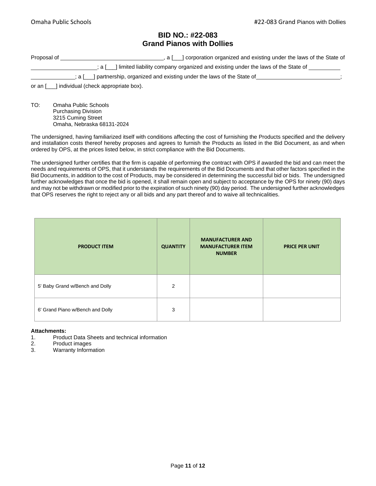### **BID NO.: #22-083 Grand Pianos with Dollies**

| Proposal of | , a [__] corporation organized and existing under the laws of the State of                     |
|-------------|------------------------------------------------------------------------------------------------|
|             | $\alpha$ a [ ] limited liability company organized and existing under the laws of the State of |
|             | $\therefore$ ; a [___] partnership, organized and existing under the laws of the State of      |
|             | or an [___] individual (check appropriate box).                                                |

TO: Omaha Public Schools Purchasing Division 3215 Cuming Street Omaha, Nebraska 68131-2024

The undersigned, having familiarized itself with conditions affecting the cost of furnishing the Products specified and the delivery and installation costs thereof hereby proposes and agrees to furnish the Products as listed in the Bid Document, as and when ordered by OPS, at the prices listed below, in strict compliance with the Bid Documents.

The undersigned further certifies that the firm is capable of performing the contract with OPS if awarded the bid and can meet the needs and requirements of OPS, that it understands the requirements of the Bid Documents and that other factors specified in the Bid Documents, in addition to the cost of Products, may be considered in determining the successful bid or bids. The undersigned further acknowledges that once the bid is opened, it shall remain open and subject to acceptance by the OPS for ninety (90) days and may not be withdrawn or modified prior to the expiration of such ninety (90) day period. The undersigned further acknowledges that OPS reserves the right to reject any or all bids and any part thereof and to waive all technicalities.

| <b>PRODUCT ITEM</b>              | <b>QUANTITY</b> | <b>MANUFACTURER AND</b><br><b>MANUFACTURER ITEM</b><br><b>NUMBER</b> | <b>PRICE PER UNIT</b> |
|----------------------------------|-----------------|----------------------------------------------------------------------|-----------------------|
| 5' Baby Grand w/Bench and Dolly  | $\overline{2}$  |                                                                      |                       |
| 6' Grand Piano w/Bench and Dolly | 3               |                                                                      |                       |

#### **Attachments:**

- 1. Product Data Sheets and technical information
- 2. Product images
- 3. Warranty Information